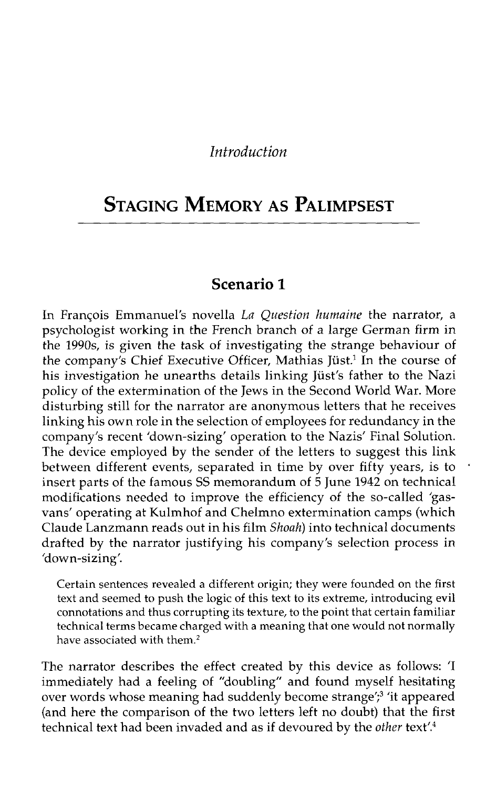# *Introduction*

# STAGING MEMORY AS PALIMPSEST

# **Scenario 1**

In François Emmanuel's novella *La Question humaine* the narrator, a psychologist working in the French branch of a large German firm in the 1990s, is given the task of investigating the strange behaviour of the company's Chief Executive Officer, Mathias Jüst.<sup>1</sup> In the course of his investigation he unearths details linking Jüst's father to the Nazi policy of the extermination of the Jews in the Second World War. More disturbing still for the narrator are anonymous letters that he receives linking his own role in the selection of employees for redundancy in the company's recent 'down-sizing' operation to the Nazis' Final Solution. The device employed by the sender of the letters to suggest this link between different events, separated in time by over fifty years, is to insert parts of the famous SS memorandum of 5 June 1942 on technical modifications needed to improve the efficiency of the so-called 'gasvans' operating at Kulmhof and Chelmno extermination camps (which Claude Lanzmann reads out in his film *Shoah)* into technical documents drafted by the narrator justifying his company's selection process in 'down-sizing'.

**Certain sentences revealed a different origin; they were founded on the first text and seemed to push the logic of this text to its extreme, introducing evil connotations and thus corrupting its texture, to the point that certain familiar technical terms became charged with a meaning that one would not normally have associated with them**.2

The narrator describes the effect created by this device as follows: 'I immediately had a feeling of "doubling" and found myself hesitating over words whose meaning had suddenly become strange';<sup>3</sup> 'it appeared (and here the comparison of the two letters left no doubt) that the first technical text had been invaded and as if devoured by the *other* text'.4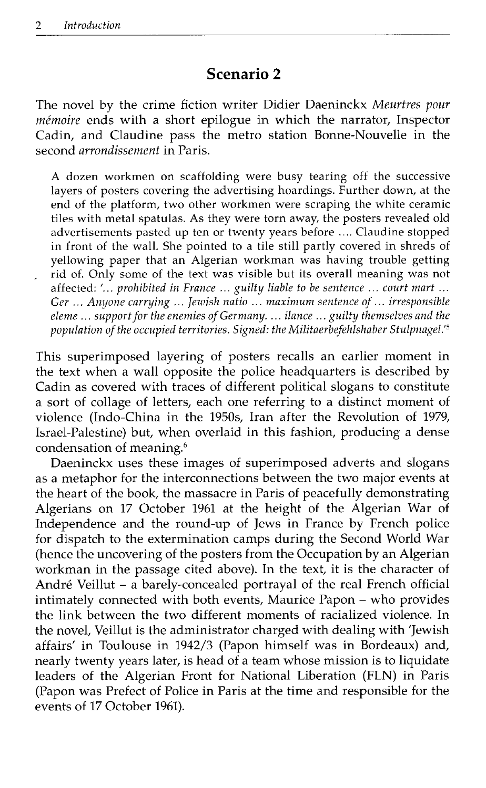# **Scenario 2**

The novel by the crime fiction writer Didier Daeninckx *Meurtres pour mémoire* ends with a short epilogue in which the narrator, Inspector Cadin, and Claudine pass the metro station Bonne-Nouvelle in the second *arrondissement* in Paris.

**A dozen workmen on scaffolding were busy tearing off the successive layers of posters covering the advertising hoardings. Further down, at the end of the platform, two other workmen were scraping the white ceramic** tiles with metal spatulas. As they were torn away, the posters revealed old **advertisements pasted up ten or twenty years before .... Claudine stopped in front of the wall. She pointed to a tile still partly covered in shreds of yellowing paper that an Algerian workman was having trouble getting . rid of. Only some of the text was visible but its overall meaning was not affected: '...** *prohibited in France ... guilty liable to be sentence ... court mart ... Ger ... Anyone carrying ... Jewish natio ... maximum sentence of ... irresponsible* eleme ... support for the enemies of Germany. ... ilance ... guilty themselves and the population of the occupied territories. Signed: the Militaerbefehlshaber Stulpnagel.<sup>'5</sup>

This superimposed layering of posters recalls an earlier moment in the text when a wall opposite the police headquarters is described by Cadin as covered with traces of different political slogans to constitute a sort of collage of letters, each one referring to a distinct moment of violence (Indo-China in the 1950s, Iran after the Revolution of 1979, Israel-Palestine) but, when overlaid in this fashion, producing a dense condensation of meaning.<sup>6</sup>

Daeninckx uses these images of superimposed adverts and slogans as a metaphor for the interconnections between the two major events at the heart of the book, the massacre in Paris of peacefully demonstrating Algerians on 17 October 1961 at the height of the Algerian War of Independence and the round-up of Jews in France by French police for dispatch to the extermination camps during the Second World War (hence the uncovering of the posters from the Occupation by an Algerian workman in the passage cited above). In the text, it is the character of André Veillut  $-$  a barely-concealed portrayal of the real French official intimately connected with both events, Maurice Papon - who provides the link between the two different moments of racialized violence. In the novel, Veillut is the administrator charged with dealing with 'Jewish affairs' in Toulouse in 1942/3 (Papon himself was in Bordeaux) and, nearly twenty years later, is head of a team whose mission is to liquidate leaders of the Algerian Front for National Liberation (FLN) in Paris (Papon was Prefect of Police in Paris at the time and responsible for the events of 17 October 1961).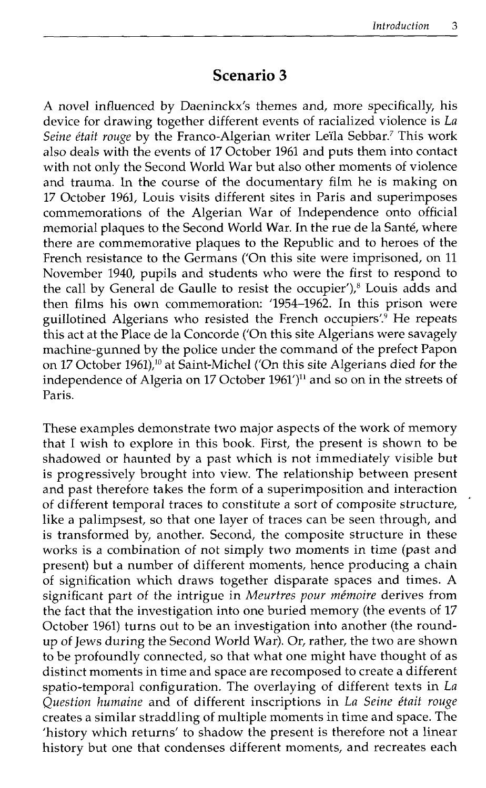# **Scenario 3**

A novel influenced by Daeninckx's themes and, more specifically, his device for drawing together different events of racialized violence is *La Seine était rouge* by the Franco-Algerian writer Leila Sebbar.7 This work also deals with the events of 17 October 1961 and puts them into contact with not only the Second World War but also other moments of violence and trauma. In the course of the documentary film he is making on 17 October 1961, Louis visits different sites in Paris and superimposes commemorations of the Algerian War of Independence onto official memorial plaques to the Second World War. In the rue de la Santé, where there are commemorative plaques to the Republic and to heroes of the French resistance to the Germans ('On this site were imprisoned, on 11 November 1940, pupils and students who were the first to respond to the call by General de Gaulle to resist the occupier'),<sup>8</sup> Louis adds and then films his own commemoration: '1954-1962. In this prison were guillotined Algerians who resisted the French occupiers<sup> $\frac{9}{9}$ </sup> He repeats this act at the Place de la Concorde ('On this site Algerians were savagely machine-gunned by the police under the command of the prefect Papon on 17 October 1961),<sup>10</sup> at Saint-Michel ('On this site Algerians died for the independence of Algeria on 17 October 1961')<sup>11</sup> and so on in the streets of Paris.

These examples demonstrate two major aspects of the work of memory that I wish to explore in this book. First, the present is shown to be shadowed or haunted by a past which is not immediately visible but is progressively brought into view. The relationship between present and past therefore takes the form of a superimposition and interaction of different temporal traces to constitute a sort of composite structure, like a palimpsest, so that one layer of traces can be seen through, and is transformed by, another. Second, the composite structure in these works is a combination of not simply two moments in time (past and present) but a number of different moments, hence producing a chain of signification which draws together disparate spaces and times. A significant part of the intrigue in *Meurtres pour mémoire* derives from the fact that the investigation into one buried memory (the events of 17 October 1961) turns out to be an investigation into another (the roundup of Jews during the Second World War). Or, rather, the two are shown to be profoundly connected, so that what one might have thought of as distinct moments in time and space are recomposed to create a different spatio-temporal configuration. The overlaying of different texts in *La Question humaine* and of different inscriptions in *La Seine était rouge* creates a similar straddling of multiple moments in time and space. The 'history which returns' to shadow the present is therefore not a linear history but one that condenses different moments, and recreates each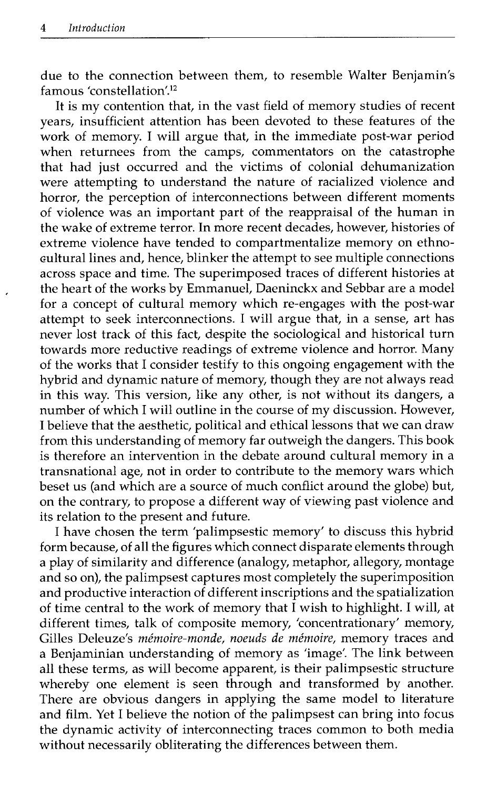due to the connection between them, to resemble Walter Benjamin's famous 'constellation'.12

It is my contention that, in the vast field of memory studies of recent years, insufficient attention has been devoted to these features of the work of memory. I will argue that, in the immediate post-war period when returnees from the camps, commentators on the catastrophe that had just occurred and the victims of colonial dehumanization were attempting to understand the nature of racialized violence and horror, the perception of interconnections between different moments of violence was an important part of the reappraisal of the human in the wake of extreme terror. In more recent decades, however, histories of extreme violence have tended to compartmentalize memory on ethnocultural lines and, hence, blinker the attempt to see multiple connections across space and time. The superimposed traces of different histories at the heart of the works by Emmanuel, Daeninckx and Sebbar are a model for a concept of cultural memory which re-engages with the post-war attempt to seek interconnections. I will argue that, in a sense, art has never lost track of this fact, despite the sociological and historical turn towards more reductive readings of extreme violence and horror. Many of the works that I consider testify to this ongoing engagement with the hybrid and dynamic nature of memory, though they are not always read in this way. This version, like any other, is not without its dangers, a number of which I will outline in the course of my discussion. However, I believe that the aesthetic, political and ethical lessons that we can draw from this understanding of memory far outweigh the dangers. This book is therefore an intervention in the debate around cultural memory in a transnational age, not in order to contribute to the memory wars which beset us (and which are a source of much conflict around the globe) but, on the contrary, to propose a different way of viewing past violence and its relation to the present and future.

I have chosen the term 'palimpsestic memory' to discuss this hybrid form because, of all the figures which connect disparate elements through a play of similarity and difference (analogy, metaphor, allegory, montage and so on), the palimpsest captures most completely the superimposition and productive interaction of different inscriptions and the spatialization of time central to the work of memory that  $\tilde{I}$  wish to highlight. I will, at different times, talk of composite memory, 'concentrationary' memory, Gilles Deleuze's *mémoire-monde, noeuds de mémoire,* memory traces and a Benjaminian understanding of memory as 'image'. The link between all these terms, as will become apparent, is their palimpsestic structure whereby one element is seen through and transformed by another. There are obvious dangers in applying the same model to literature and film. Yet I believe the notion of the palimpsest can bring into focus the dynamic activity of interconnecting traces common to both media without necessarily obliterating the differences between them.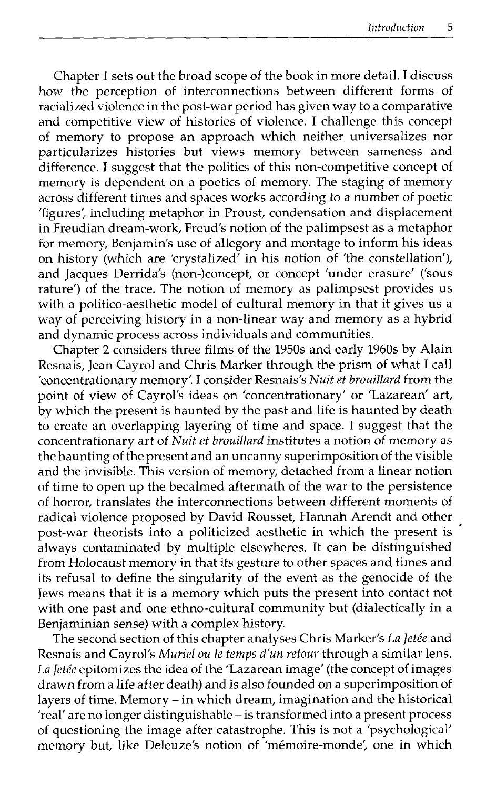Chapter 1 sets out the broad scope of the book in more detail. I discuss how the perception of interconnections between different forms of racialized violence in the post-war period has given way to a comparative and competitive view of histories of violence. I challenge this concept of memory to propose an approach which neither universalizes nor particularizes histories but views memory between sameness and difference. I suggest that the politics of this non-competitive concept of memory is dependent on a poetics of memory. The staging of memory across different times and spaces works according to a number of poetic 'figures', including metaphor in Proust, condensation and displacement in Freudian dream-work, Freud's notion of the palimpsest as a metaphor for memory, Benjamin's use of allegory and montage to inform his ideas on history (which are 'crystalized' in his notion of 'the constellation'), and Jacques Derrida's (non-)concept, or concept 'under erasure' ('sous rature') of the trace. The notion of memory as palimpsest provides us with a politico-aesthetic model of cultural memory in that it gives us a way of perceiving history in a non-linear way and memory as a hybrid and dynamic process across individuals and communities.

Chapter 2 considers three films of the 1950s and early 1960s by Alain Resnais, Jean Cayrol and Chris Marker through the prism of what I call 'concentrationary memory'. I consider Resnais's *Nuit et brouillard* from the point of view of Cayrol's ideas on 'concentrationary' or 'Lazarean' art, by which the present is haunted by the past and life is haunted by death to create an overlapping layering of time and space. I suggest that the concentrationary art of *Nuit et brouillard* institutes a notion of memory as the haunting of the present and an uncanny superimposition of the visible and the invisible. This version of memory, detached from a linear notion of time to open up the becalmed aftermath of the war to the persistence of horror, translates the interconnections between different moments of radical violence proposed by David Rousset, Hannah Arendt and other post-war theorists into a politicized aesthetic in which the present is always contaminated by multiple elsewheres. It can be distinguished from Holocaust memory in that its gesture to other spaces and times and its refusal to define the singularity of the event as the genocide of the Jews means that it is a memory which puts the present into contact not with one past and one ethno-cultural community but (dialectically in a Benjaminian sense) with a complex history.

The second section of this chapter analyses Chris Marker's *La jetée* and Resnais and Cayrol's *Muriel ou le temps d'un retour* through a similar lens. *La Jetée* epitomizes the idea of the 'Lazarean image' (the concept of images drawn from a life after death) and is also founded on a superimposition of layers of time. Memory – in which dream, imagination and the historical 'real' are no longer distinguishable - is transformed into a present process of questioning the image after catastrophe. This is not a 'psychological' memory but, like Deleuze's notion of 'mémoire-monde', one in which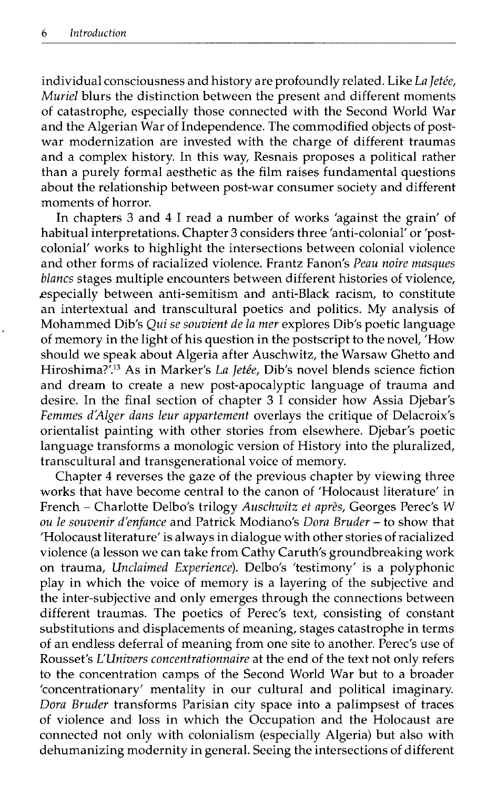individual consciousness and history are profoundly related. Like *La Jetée, Muriel* blurs the distinction between the present and different moments of catastrophe, especially those connected with the Second World War and the Algerian War of Independence. The commodified objects of postwar modernization are invested with the charge of different traumas and a complex history. In this way, Resnais proposes a political rather than a purely formal aesthetic as the film raises fundamental questions about the relationship between post-war consumer society and different moments of horror.

In chapters 3 and 4 I read a number of works 'against the grain' of habitual interpretations. Chapter 3 considers three 'anti-colonial' or 'postcolonial' works to highlight the intersections between colonial violence and other forms of racialized violence. Frantz Fanon's *Peau noire masques blancs* stages multiple encounters between different histories of violence, especially between anti-semitism and anti-Black racism, to constitute an intertextual and transcultural poetics and politics. My analysis of Mohammed Dib's *Qui se souvient de la mer* explores Dib's poetic language of memory in the light of his question in the postscript to the novel, 'How should we speak about Algeria after Auschwitz, the Warsaw Ghetto and Hiroshima?'.13 As in Marker's *La Jetée,* Dib's novel blends science fiction and dream to create a new post-apocalyptic language of trauma and desire. In the final section of chapter  $3\overset{\circ}{I}$  consider how Assia Diebar's *Femmes d'Alger dans leur appartement* overlays the critique of Delacroix's orientalist painting with other stories from elsewhere. Djebar's poetic language transforms a monologic version of History into the pluralized, transcultural and transgenerational voice of memory.

Chapter 4 reverses the gaze of the previous chapter by viewing three works that have become central to the canon of 'Holocaust literature' in French - Charlotte Delbo's trilogy *Auschwitz et après,* Georges Perec's W *ou le souvenir d'enfance* and Patrick Modiano's *Dora Bruder* - to show that 'Holocaust literature' is always in dialogue with other stories of racialized violence (a lesson we can take from Cathy Caruth's groundbreaking work on trauma, *Unclaimed Experience).* Delbo's 'testimony' is a polyphonic play in which the voice of memory is a layering of the subjective and the inter-subjective and only emerges through the connections between different traumas. The poetics of Perec's text, consisting of constant substitutions and displacements of meaning, stages catastrophe in terms of an endless deferral of meaning from one site to another. Perec's use of Rousset's *L'Univers concentrationnaire* at the end of the text not only refers to the concentration camps of the Second World War but to a broader 'concentrationary' mentality in our cultural and political imaginary. *Dora Bruder* transforms Parisian city space into a palimpsest of traces of violence and loss in which the Occupation and the Holocaust are connected not only with colonialism (especially Algeria) but also with dehumanizing modernity in general. Seeing the intersections of different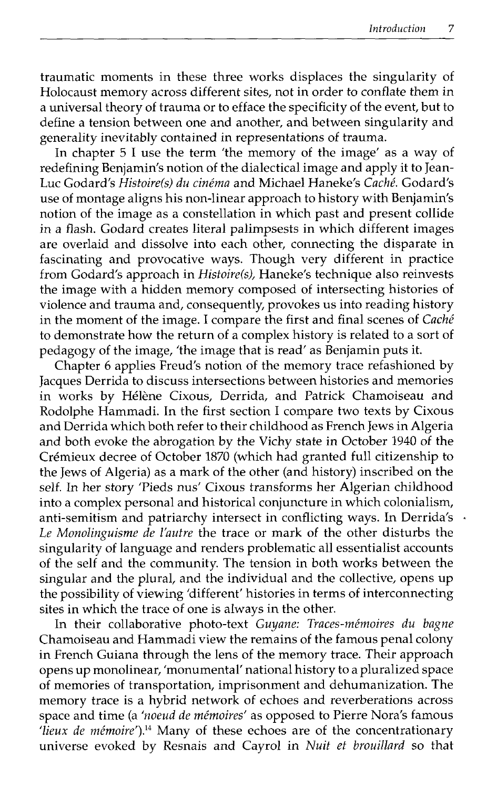traumatic moments in these three works displaces the singularity of Holocaust memory across different sites, not in order to conflate them in a universal theory of trauma or to efface the specificity of the event, but to define a tension between one and another, and between singularity and generality inevitably contained in representations of trauma.

In chapter 5 I use the term 'the memory of the image' as a way of redefining Benjamin's notion of the dialectical image and apply it to Jean-Luc Godard's *Histoire(s) du cinéma* and Michael Haneke's *Caché.* Godard's use of montage aligns his non-linear approach to history with Benjamin's notion of the image as a constellation in which past and present collide in a flash. Godard creates literal palimpsests in which different images are overlaid and dissolve into each other, connecting the disparate in fascinating and provocative ways. Though very different in practice from Godard's approach in *Histoire(s),* Haneke's technique also reinvests the image with a hidden memory composed of intersecting histories of violence and trauma and, consequently, provokes us into reading history in the moment of the image. I compare the first and final scenes of *Caché* to demonstrate how the return of a complex history is related to a sort of pedagogy of the image, 'the image that is read' as Benjamin puts it.

Chapter 6 applies Freud's notion of the memory trace refashioned by Jacques Derrida to discuss intersections between histories and memories in works by Hélène Cixous, Derrida, and Patrick Chamoiseau and Rodolphe Hammadi. In the first section I compare two texts by Cixous and Derrida which both refer to their childhood as French Jews in Algeria and both evoke the abrogation by the Vichy state in October 1940 of the Crémieux decree of October 1870 (which had granted full citizenship to the Jews of Algeria) as a mark of the other (and history) inscribed on the self. In her story 'Pieds nus' Cixous transforms her Algerian childhood into a complex personal and historical conjuncture in which colonialism, anti-semitism and patriarchy intersect in conflicting ways. In Derrida's *Le Monolinguisme de l'autre* the trace or mark of the other disturbs the singularity of language and renders problematic all essentialist accounts of the self and the community. The tension in both works between the singular and the plural, and the individual and the collective, opens up the possibility of viewing 'different' histories in terms of interconnecting sites in which the trace of one is always in the other.

In their collaborative photo-text *Guyane: Traces-mémoires du bagne* Chamoiseau and Hammadi view the remains of the famous penal colony in French Guiana through the lens of the memory trace. Their approach opens up monolinear, 'monumental' national history to a pluralized space of memories of transportation, imprisonment and dehumanization. The memory trace is a hybrid network of echoes and reverberations across space and time (a *'noeud de mémoires'* as opposed to Pierre Nora's famous 'lieux de mémoire').<sup>14</sup> Many of these echoes are of the concentrationary universe evoked by Resnais and Cayrol in *Nuit et brouillard* so that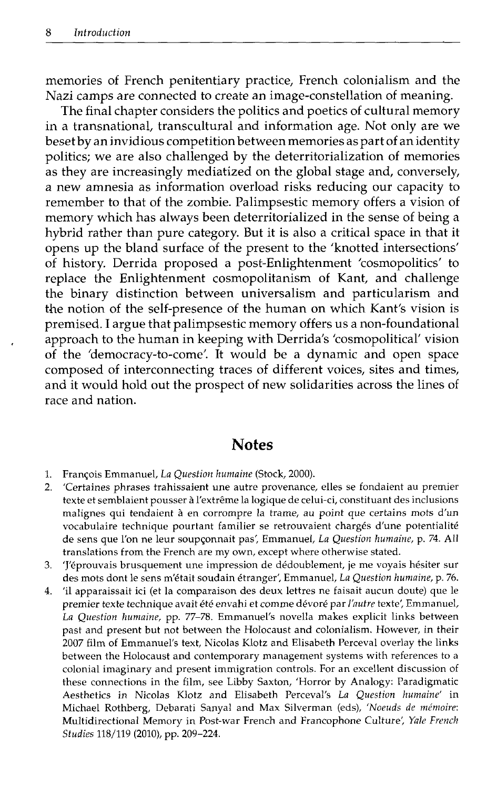memories of French penitentiary practice, French colonialism and the Nazi camps are connected to create an image-constellation of meaning.

The final chapter considers the politics and poetics of cultural memory in a transnational, transcultural and information age. Not only are we beset by an invidious competition between memories as part of an identity politics; we are also challenged by the deterritorialization of memories as they are increasingly mediatized on the global stage and, conversely, a new amnesia as information overload risks reducing our capacity to remember to that of the zombie. Palimpsestic memory offers a vision of memory which has always been deterritorialized in the sense of being a hybrid rather than pure category. But it is also a critical space in that it opens up the bland surface of the present to the 'knotted intersections' of history. Derrida proposed a post-Enlightenment 'cosmopolitics' to replace the Enlightenment cosmopolitanism of Kant, and challenge the binary distinction between universalism and particularism and the notion of the self-presence of the human on which Kant's vision is premised. I argue that palimpsestic memory offers us a non-foundational approach to the human in keeping with Derrida's 'cosmopolitical' vision of the 'democracy-to-come'. It would be a dynamic and open space composed of interconnecting traces of different voices, sites and times, and it would hold out the prospect of new solidarities across the lines of race and nation.

#### **Notes**

- 1. François Emmanuel, *La Question humaine* (Stock, 2000).<br>2. **Certaines phrases trahissaient une autre provenance**
- **2. 'Certaines phrases trahissaient une autre provenance, elles se fondaient au premier** texte et semblaient pousser à l'extrême la logique de celui-ci, constituant des inclusions malignes qui tendaient à en corrompre la trame, au point que certains mots d'un **vocabulaire technique pourtant familier se retrouvaient chargés d'une potentialité de sens que l'on ne leur soupçonnait pas', Em m anuel,** *La Question humaine,* **p. 74. Ail translations from the French are my own, except where otherw ise stated.**
- **3. 'J'éprouvais brusquem ent une impression de dédoublement, je me voyais hésiter sur des mots dont le sens m'était soudain étranger', Em m anuel,** *La Question humaine,* **p. 76.**
- **4. 'il apparaissait ici (et la com paraison des deux lettres ne faisait aucun doute) que le** premier texte technique avait été envahi et comme dévoré par *l'autre* texte', Emmanuel, *La Q uestion humaine,* **pp. 77-78. Em m anuel's novella makes explicit links between** past and present but not between the Holocaust and colonialism. However, in their 2007 film of Emmanuel's text, Nicolas Klotz and Elisabeth Perceval overlay the links between the Holocaust and contemporary management systems with references to a **colonial im aginary and present im m igration controls. For an excellent discussion of** these connections in the film, see Libby Saxton, 'Horror by Analogy: Paradigmatic **Aesthetics in Nicolas Klotz and Elisabeth Perceval's** *La Question humaine'* **in** Michael Rothberg, Debarati Sanyal and Max Silverman (eds), 'Noeuds de mémoire: **M ultidirectional M em ory in Post-war French and Francophone Culture',** *Yale French Studies* **118/119 (2010), pp. 209-224.**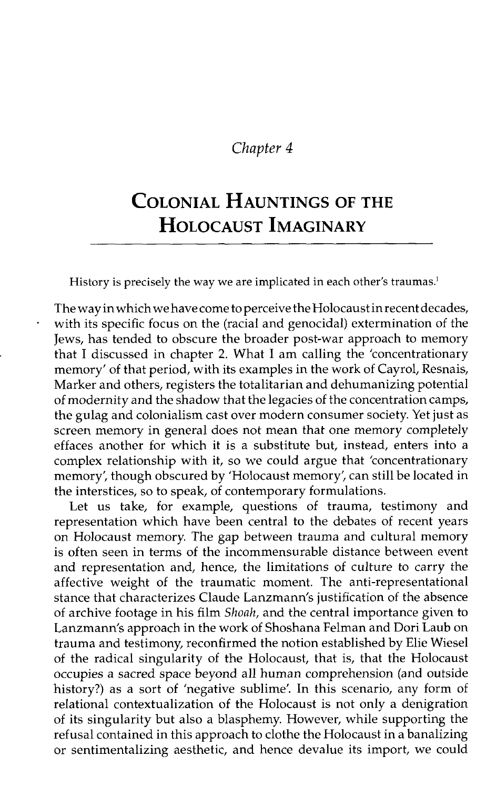## *Chapter 4*

# $C$  **OLONIAL HAUNTINGS OF THE HOLOCAUST IMAGINARY**

History is precisely the way we are implicated in each other's traumas.<sup>1</sup>

The way in which we have come to perceive the Holocaust in recent decades, with its specific focus on the (racial and genocidal) extermination of the Jews, has tended to obscure the broader post-war approach to memory that I discussed in chapter 2. What I am calling the 'concentrationary memory' of that period, with its examples in the work of Cayrol, Resnais, Marker and others, registers the totalitarian and dehumanizing potential of modernity and the shadow that the legacies of the concentration camps, the gulag and colonialism cast over modern consumer society. Yet just as screen memory in general does not mean that one memory completely effaces another for which it is a substitute but, instead, enters into a complex relationship with it, so we could argue that 'concentrationary memory', though obscured by 'Holocaust memory', can still be located in the interstices, so to speak, of contemporary formulations.

Let us take, for example, questions of trauma, testimony and representation which have been central to the debates of recent years on Holocaust memory. The gap between trauma and cultural memory is often seen in terms of the incommensurable distance between event and representation and, hence, the limitations of culture to carry the affective weight of the traumatic moment. The anti-representational stance that characterizes Claude Lanzmann's justification of the absence of archive footage in his film *Shoah,* and the central importance given to Lanzmann's approach in the work of Shoshana Felman and Dori Laub on trauma and testimony, reconfirmed the notion established by Elie Wiesel of the radical singularity of the Holocaust, that is, that the Holocaust occupies a sacred space beyond all human comprehension (and outside history?) as a sort of 'negative sublime'. In this scenario, any form of relational contextualization of the Holocaust is not only a denigration of its singularity but also a blasphemy. However, while supporting the refusal contained in this approach to clothe the Holocaust in a banalizing or sentimentalizing aesthetic, and hence devalue its import, we could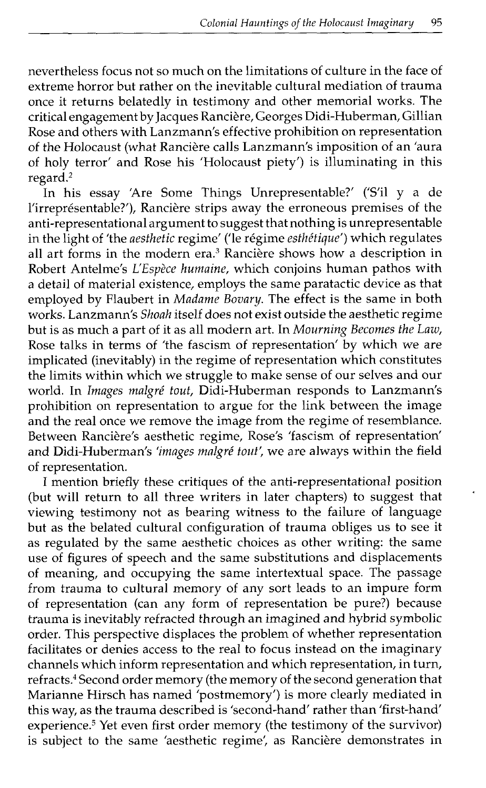nevertheless focus not so much on the limitations of culture in the face of extreme horror but rather on the inevitable cultural mediation of trauma once it returns belatedly in testimony and other memorial works. The critical engagement by Jacques Ranciére, Georges Didi-Huberman, Gillian Rose and others with Lanzmann's effective prohibition on representation of the Holocaust (what Ranciére calls Lanzmann's imposition of an 'aura of holy terror' and Rose his 'Holocaust piety') is illuminating in this regard.<sup>2</sup>

In his essay 'Are Some Things Unrepresentable?' ('S'il y a de Tirreprésentable?'), Ranciére strips away the erroneous premises of the anti-representational argument to suggest that nothing is unrepresentable in the light of 'the *aesthetic* regime' ('le régime *esthétique')* which regulates all art forms in the modern era.<sup>3</sup> Rancière shows how a description in Robert Antelme's *L'Espéce humaine,* which conjoins human pathos with a detail of material existence, employs the same paratactic device as that employed by Flaubert in *Madame Bovary.* The effect is the same in both works. Lanzmann's *Shoah* itself does not exist outside the aesthetic regime but is as much a part of it as all modern art. In *Mourning Becomes the Law,* Rose talks in terms of 'the fascism of representation' by which we are implicated (inevitably) in the regime of representation which constitutes the limits within which we struggle to make sense of our selves and our world. In *Images malgré tout,* Didi-Huberman responds to Lanzmann's prohibition on representation to argue for the link between the image and the real once we remove the image from the regime of resemblance. Between Ranciére's aesthetic regime, Rose's 'fascism of representation' and Didi-Huberman's *'images malgré tout',* we are always within the field of representation.

I mention briefly these critiques of the anti-representational position (but will return to all three writers in later chapters) to suggest that viewing testimony not as bearing witness to the failure of language but as the belated cultural configuration of trauma obliges us to see it as regulated by the same aesthetic choices as other writing: the same use of figures of speech and the same substitutions and displacements of meaning, and occupying the same intertextual space. The passage from trauma to cultural memory of any sort leads to an impure form of representation (can any form of representation be pure?) because trauma is inevitably refracted through an imagined and hybrid symbolic order. This perspective displaces the problem of whether representation facilitates or denies access to the real to focus instead on the imaginary channels which inform representation and which representation, in turn, refracts.4 Second order memory (the memory of the second generation that Marianne Hirsch has named 'postmemory') is more clearly mediated in this way, as the trauma described is 'second-hand' rather than 'first-hand' experience.<sup>5</sup> Yet even first order memory (the testimony of the survivor) is subject to the same 'aesthetic regime', as Ranciére demonstrates in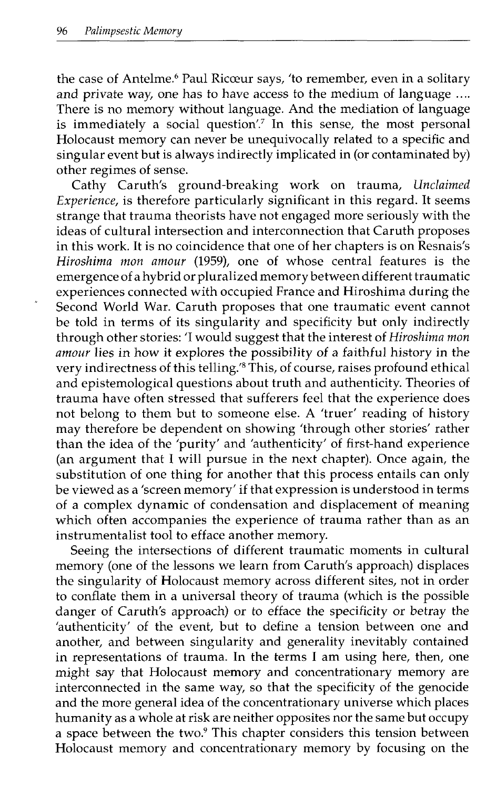the case of Antelme.<sup>6</sup> Paul Ricœur says, 'to remember, even in a solitary and private way, one has to have access to the medium of language .... There is no memory without language. And the mediation of language is immediately a social question'.<sup>7</sup> In this sense, the most personal Holocaust memory can never be unequivocally related to a specific and singular event but is always indirectly implicated in (or contaminated by) other regimes of sense.

Cathy Caruth's ground-breaking work on trauma, *Unclaimed Experience,* is therefore particularly significant in this regard. It seems strange that trauma theorists have not engaged more seriously with the ideas of cultural intersection and interconnection that Caruth proposes in this work. It is no coincidence that one of her chapters is on Resnais's *Hiroshima mon amour* (1959), one of whose central features is the emergence of a hybrid or pluralized memory between different traumatic experiences connected with occupied France and Hiroshima during the Second World War. Caruth proposes that one traumatic event cannot be told in terms of its singularity and specificity but only indirectly through other stories: 'I would suggest that the interest of *Hiroshima mon amour* lies in how it explores the possibility of a faithful history in the very indirectness of this telling.'8 This, of course, raises profound ethical and epistemological questions about truth and authenticity. Theories of trauma have often stressed that sufferers feel that the experience does not belong to them but to someone else. A 'truer' reading of history may therefore be dependent on showing 'through other stories' rather than the idea of the 'purity' and 'authenticity' of first-hand experience (an argument that I will pursue in the next chapter). Once again, the substitution of one thing for another that this process entails can only be viewed as a 'screen memory' if that expression is understood in terms of a complex dynamic of condensation and displacement of meaning which often accompanies the experience of trauma rather than as an instrumentalist tool to efface another memory.

Seeing the intersections of different traumatic moments in cultural memory (one of the lessons we learn from Caruth's approach) displaces the singularity of Holocaust memory across different sites, not in order to conflate them in a universal theory of trauma (which is the possible danger of Caruth's approach) or to efface the specificity or betray the 'authenticity' of the event, but to define a tension between one and another, and between singularity and generality inevitably contained in representations of trauma. In the terms I am using here, then, one might say that Holocaust memory and concentrationary memory are interconnected in the same way, so that the specificity of the genocide and the more general idea of the concentrationary universe which places humanity as a whole at risk are neither opposites nor the same but occupy a space between the two. $9$  This chapter considers this tension between Holocaust memory and concentrationary memory by focusing on the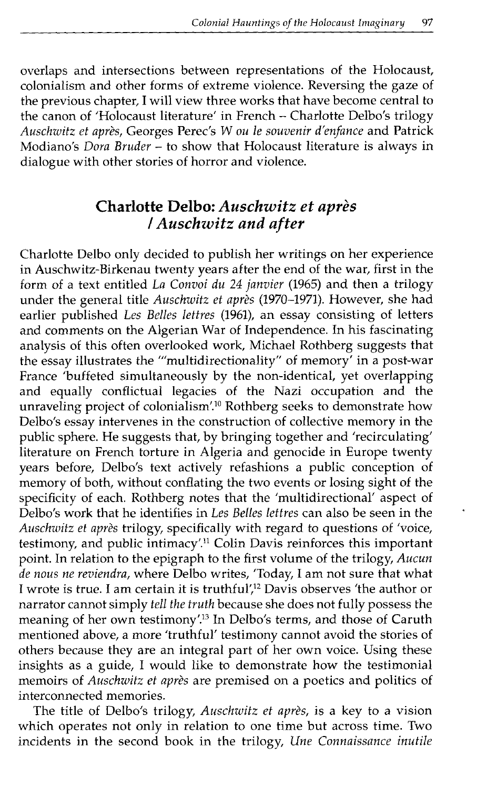overlaps and intersections between representations of the Holocaust, colonialism and other forms of extreme violence. Reversing the gaze of the previous chapter, I will view three works that have become central to the canon of 'Holocaust literature' in French - Charlotte Delbo's trilogy *Auschwitz et après,* Georges Perec's W *ou le souvenir d'enfance* and Patrick Modiano's *Dora Bruder* - to show that Holocaust literature is always in dialogue with other stories of horror and violence.

# **Charlotte Delbo:** *Auschwitz et après* **/** *Auschwitz and after*

Charlotte Delbo only decided to publish her writings on her experience in Auschwitz-Birkenau twenty years after the end of the war, first in the form of a text entitled *La Convoi du 24 janvier* (1965) and then a trilogy under the general title *Auschwitz et après* (1970-1971). However, she had earlier published *Les Belles lettres* (1961), an essay consisting of letters and comments on the Algerian War of Independence. In his fascinating analysis of this often overlooked work, Michael Rothberg suggests that the essay illustrates the "'multidirectionality" of memory' in a post-war France 'buffeted simultaneously by the non-identical, yet overlapping and equally conflictual legacies of the Nazi occupation and the unraveling project of colonialism'.10 Rothberg seeks to demonstrate how Delbo's essay intervenes in the construction of collective memory in the public sphere. He suggests that, by bringing together and 'recirculating' literature on French torture in Algeria and genocide in Europe twenty years before, Delbo's text actively refashions a public conception of memory of both, without conflating the two events or losing sight of the specificity of each. Rothberg notes that the 'multidirectional' aspect of Delbo's work that he identifies in *Les Belles lettres* can also be seen in the *Auschwitz et après* trilogy, specifically with regard to questions of 'voice, testimony, and public intimacy'.11 Colin Davis reinforces this important point. In relation to the epigraph to the first volume of the trilogy, *Aucun de nous ne reviendra,* where Delbo writes, 'Today, I am not sure that what I wrote is true. I am certain it is truthful',12 Davis observes 'the author or narrator cannot simply *tell the truth* because she does not fully possess the meaning of her own testimony'.13 In Delbo's terms, and those of Caruth mentioned above, a more 'truthful' testimony cannot avoid the stories of others because they are an integral part of her own voice. Using these insights as a guide, I would like to demonstrate how the testimonial memoirs of *Auschwitz et après* are premised on a poetics and politics of interconnected memories.

The title of Delbo's trilogy, *Auschwitz et après,* is a key to a vision which operates not only in relation to one time but across time. Two incidents in the second book in the trilogy, *Une Connaissance inutile*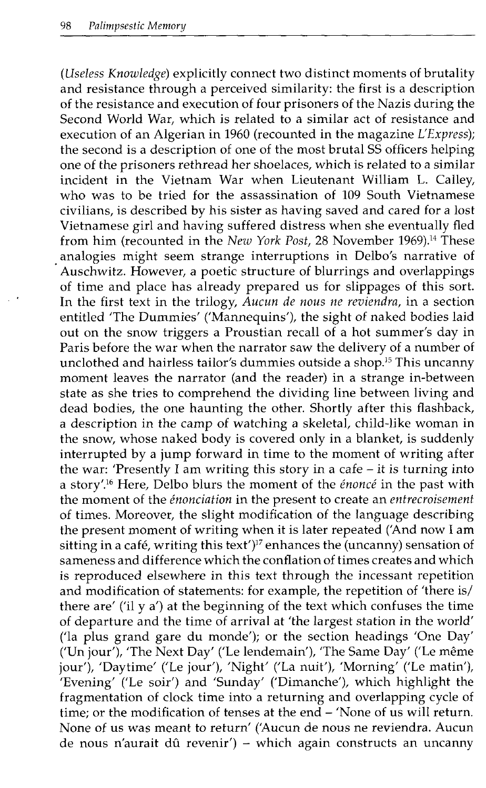*(Useless Knowledge*) explicitly connect two distinct moments of brutality and resistance through a perceived similarity: the first is a description of the resistance and execution of four prisoners of the Nazis during the Second World War, which is related to a similar act of resistance and execution of an Algerian in 1960 (recounted in the magazine *L'Express);* the second is a description of one of the most brutal SS officers helping one of the prisoners rethread her shoelaces, which is related to a similar incident in the Vietnam War when Lieutenant William L. Calley, who was to be tried for the assassination of 109 South Vietnamese civilians, is described by his sister as having saved and cared for a lost Vietnamese girl and having suffered distress when she eventually fled from him (recounted in the *New York Post,* 28 November 1969).14 These analogies might seem strange interruptions in Delbo's narrative of Auschwitz. However, a poetic structure of blurrings and overlappings of time and place has already prepared us for slippages of this sort. In the first text in the trilogy, *Aucun de nous ne reviendra,* in a section entitled 'The Dummies' ('Mannequins'), the sight of naked bodies laid out on the snow triggers a Proustian recall of a hot summer's day in Paris before the war when the narrator saw the delivery of a number of unclothed and hairless tailor's dummies outside a shop.<sup>15</sup> This uncanny moment leaves the narrator (and the reader) in a strange in-between state as she tries to comprehend the dividing line between living and dead bodies, the one haunting the other. Shortly after this flashback, a description in the camp of watching a skeletal, child-like woman in the snow, whose naked body is covered only in a blanket, is suddenly interrupted by a jump forward in time to the moment of writing after the war: 'Presently I am writing this story in a cafe  $-$  it is turning into a story'.16 Here, Delbo blurs the moment of the *énoncé* in the past with the moment of the *énonciation* in the present to create an *entrecroisement* of times. Moreover, the slight modification of the language describing the present moment of writing when it is later repeated ('And now I am sitting in a café, writing this text')<sup>17</sup> enhances the (uncanny) sensation of sameness and difference which the conflation of times creates and which is reproduced elsewhere in this text through the incessant repetition and modification of statements: for example, the repetition of 'there is/ there are' ('il y a') at the beginning of the text which confuses the time of departure and the time of arrival at 'the largest station in the world' ('la plus grand gare du monde'); or the section headings 'One Day' ('Un jour'), 'The Next Day' ('Le lendemain'), 'The Same Day' ('Le même jour'), 'Daytime' ('Le jour'), 'Night' ('La nuit'), 'Morning' ('Le matin'), 'Evening' ('Le soir') and 'Sunday' ('Dimanche'), which highlight the fragmentation of clock time into a returning and overlapping cycle of time; or the modification of tenses at the end  $-$  'None of us will return. None of us was meant to return' ('Aucun de nous ne reviendra. Aucun de nous n'aurait dû revenir') - which again constructs an uncanny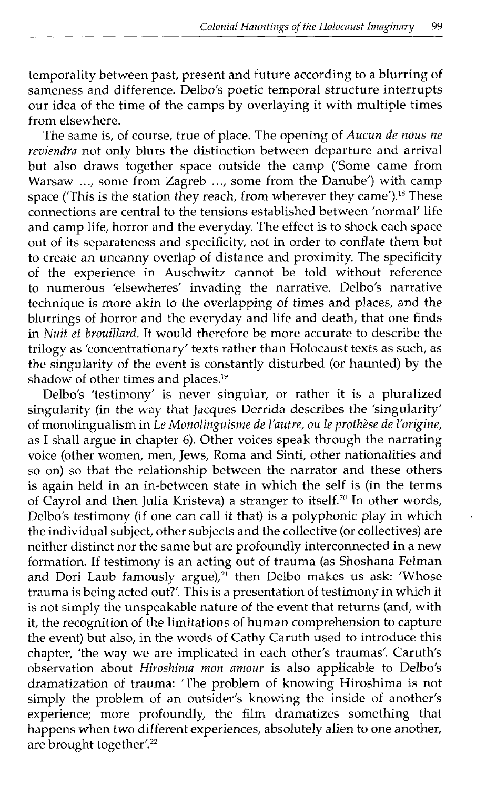temporality between past, present and future according to a blurring of sameness and difference. Delbo's poetic temporal structure interrupts our idea of the time of the camps by overlaying it with multiple times from elsewhere.

The same is, of course, true of place. The opening of *Aucun de nous ne reviendra* not only blurs the distinction between departure and arrival but also draws together space outside the camp ('Some came from Warsaw ..., some from Zagreb ..., some from the Danube') with camp space ('This is the station they reach, from wherever they came').<sup>18</sup> These connections are central to the tensions established between 'normal' life and camp life, horror and the everyday. The effect is to shock each space out of its separateness and specificity, not in order to conflate them but to create an uncanny overlap of distance and proximity. The specificity of the experience in Auschwitz cannot be told without reference to numerous 'elsewheres' invading the narrative. Delbo's narrative technique is more akin to the overlapping of times and places, and the blurrings of horror and the everyday and life and death, that one finds in *Nuit et brouillard.* It would therefore be more accurate to describe the trilogy as 'concentrationary' texts rather than Holocaust texts as such, as the singularity of the event is constantly disturbed (or haunted) by the shadow of other times and places.<sup>19</sup>

Delbo's 'testimony' is never singular, or rather it is a pluralized singularity (in the way that Jacques Derrida describes the 'singularity' of monolingualism in *Le Monolinguisme de l'autre, ou le prothèse de l'origine,* as I shall argue in chapter 6). Other voices speak through the narrating voice (other women, men, Jews, Roma and Sinti, other nationalities and so on) so that the relationship between the narrator and these others is again held in an in-between state in which the self is (in the terms of Cayrol and then Julia Kristeva) a stranger to itself.<sup>20</sup> In other words, Delbo's testimony (if one can call it that) is a polyphonic play in which the individual subject, other subjects and the collective (or collectives) are neither distinct nor the same but are profoundly interconnected in a new formation. If testimony is an acting out of trauma (as Shoshana Felman and Dori Laub famously argue), $2\tilde{1}$  then Delbo makes us ask: 'Whose trauma is being acted out?'. This is a presentation of testimony in which it is not simply the unspeakable nature of the event that returns (and, with it, the recognition of the limitations of human comprehension to capture the event) but also, in the words of Cathy Caruth used to introduce this chapter, 'the way we are implicated in each other's traumas'. Caruth's observation about *Hiroshima mon amour* is also applicable to Delbo's dramatization of trauma: 'The problem of knowing Hiroshima is not simply the problem of an outsider's knowing the inside of another's experience; more profoundly, the film dramatizes something that happens when two different experiences, absolutely alien to one another, are brought together'.22